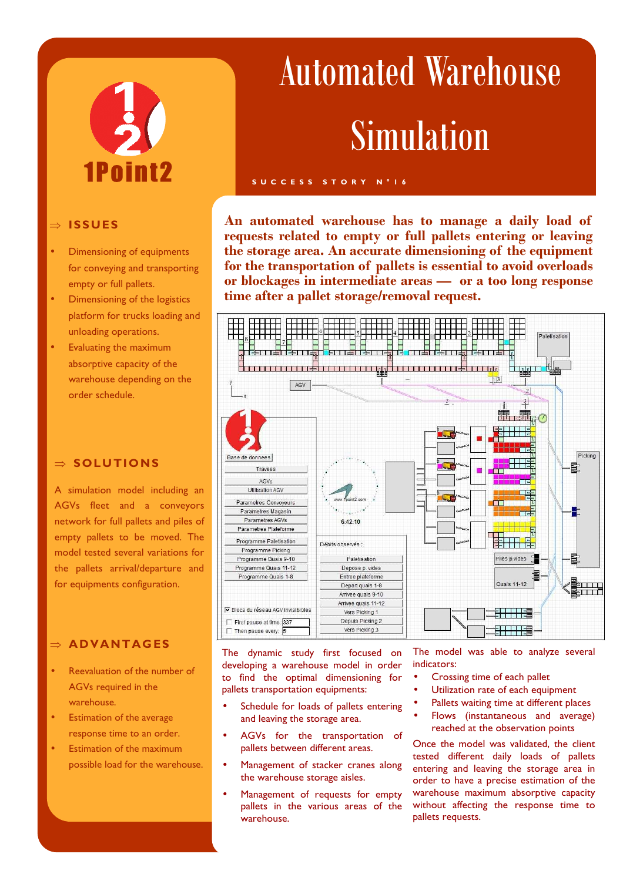# 1Point2

## ⇒ **ISSUES**

- Dimensioning of equipments for conveying and transporting empty or full pallets.
- Dimensioning of the logistics platform for trucks loading and unloading operations.
- Evaluating the maximum absorptive capacity of the warehouse depending on the order schedule.

# ⇒ **SOLUTIONS**

A simulation model including an AGVs fleet and a conveyors network for full pallets and piles of empty pallets to be moved. The model tested several variations for the pallets arrival/departure and for equipments configuration.

## ⇒ **AD VANTAG ES**

- Reevaluation of the number of AGVs required in the warehouse.
- Estimation of the average response time to an order.
- Estimation of the maximum possible load for the warehouse.

# Automated Warehouse Simulation

### **S U C C E S S S T O R Y N ° 1 6**

**An automated warehouse has to manage a daily load of requests related to empty or full pallets entering or leaving the storage area. An accurate dimensioning of the equipment for the transportation of pallets is essential to avoid overloads or blockages in intermediate areas — or a too long response time after a pallet storage/removal request.** 



The dynamic study first focused on developing a warehouse model in order to find the optimal dimensioning for pallets transportation equipments:

- Schedule for loads of pallets entering and leaving the storage area.
- AGVs for the transportation of pallets between different areas.
- Management of stacker cranes along the warehouse storage aisles.
- Management of requests for empty pallets in the various areas of the warehouse.

The model was able to analyze several indicators:

- Crossing time of each pallet
- Utilization rate of each equipment
- Pallets waiting time at different places
- Flows (instantaneous and average) reached at the observation points

Once the model was validated, the client tested different daily loads of pallets entering and leaving the storage area in order to have a precise estimation of the warehouse maximum absorptive capacity without affecting the response time to pallets requests.